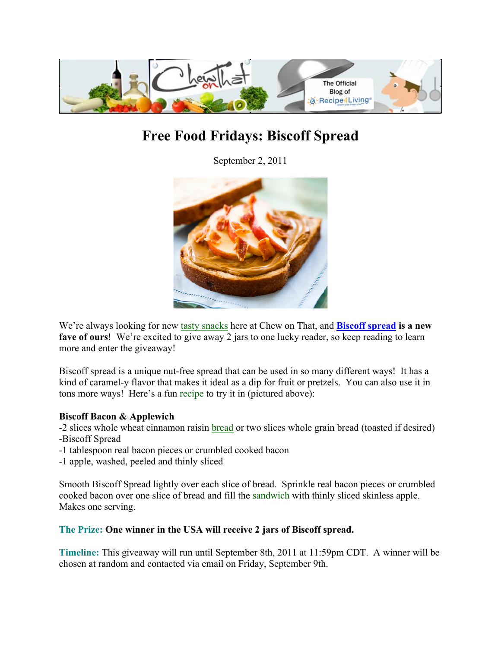

# **Free Food Fridays: Biscoff Spread**

September 2, 2011



We're always looking for new tasty snacks here at Chew on That, and **Biscoff spread is a new**  fave of ours! We're excited to give away 2 jars to one lucky reader, so keep reading to learn more and enter the giveaway!

Biscoff spread is a unique nut-free spread that can be used in so many different ways! It has a kind of caramel-y flavor that makes it ideal as a dip for fruit or pretzels. You can also use it in tons more ways! Here's a fun recipe to try it in (pictured above):

## **Biscoff Bacon & Applewich**

-2 slices whole wheat cinnamon raisin **bread** or two slices whole grain bread (toasted if desired) -Biscoff Spread

- -1 tablespoon real bacon pieces or crumbled cooked bacon
- -1 apple, washed, peeled and thinly sliced

Smooth Biscoff Spread lightly over each slice of bread. Sprinkle real bacon pieces or crumbled cooked bacon over one slice of bread and fill the sandwich with thinly sliced skinless apple. Makes one serving.

## **The Prize: One winner in the USA will receive 2 jars of Biscoff spread.**

**Timeline:** This giveaway will run until September 8th, 2011 at 11:59pm CDT. A winner will be chosen at random and contacted via email on Friday, September 9th.